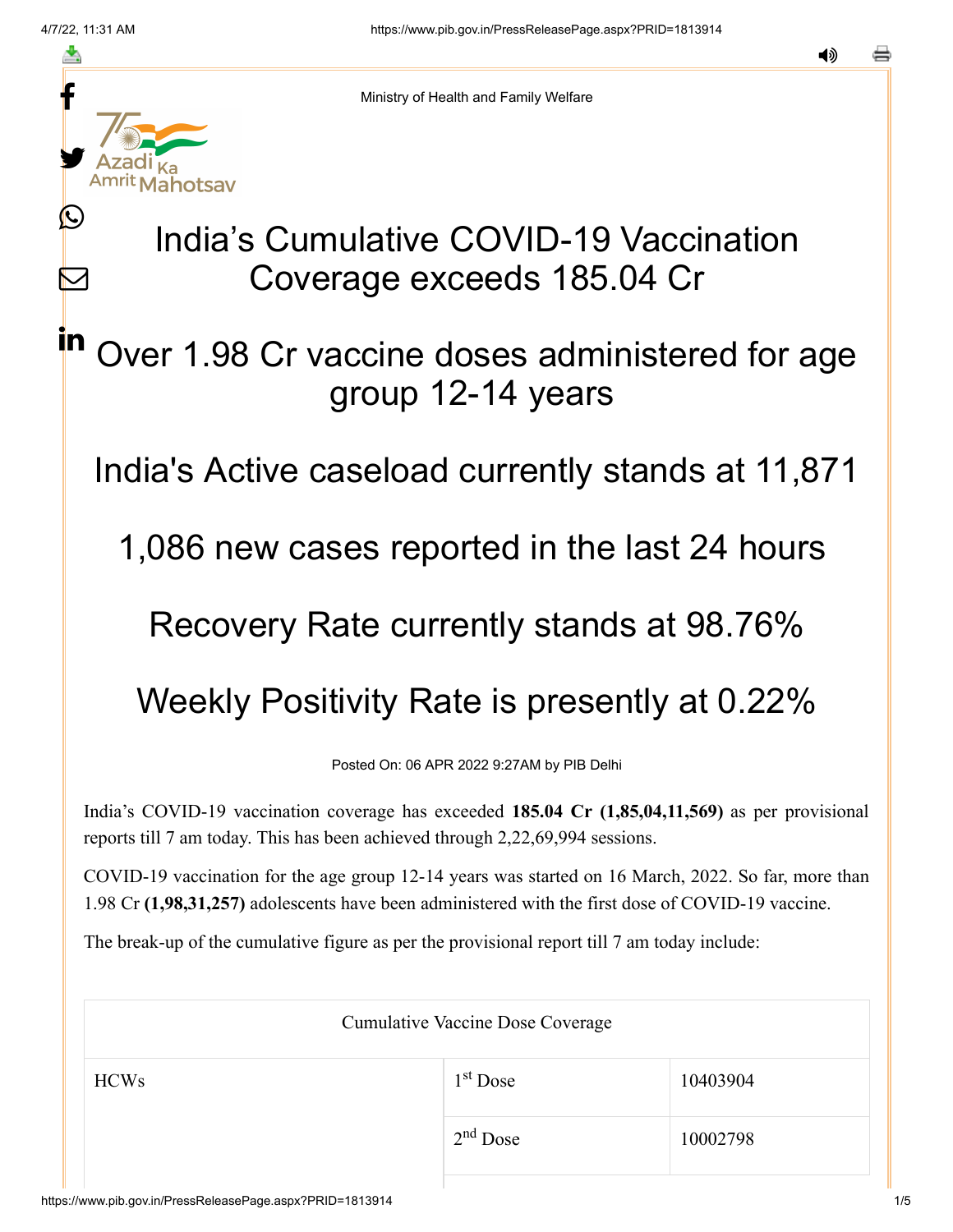Ŀ

 $\boldsymbol{\mathsf{M}}$ 

in



Ministry of Health and Family Welfare

## India's Cumulative COVID-19 Vaccination Coverage exceeds 185.04 Cr

Over 1.98 Cr vaccine doses administered for age group 12-14 years

India's Active caseload currently stands at 11,871

1,086 new cases reported in the last 24 hours

Recovery Rate currently stands at 98.76%

Weekly Positivity Rate is presently at 0.22%

Posted On: 06 APR 2022 9:27AM by PIB Delhi

India's COVID-19 vaccination coverage has exceeded **185.04 Cr (1,85,04,11,569)** as per provisional reports till 7 am today. This has been achieved through 2,22,69,994 sessions.

COVID-19 vaccination for the age group 12-14 years was started on 16 March, 2022. So far, more than 1.98 Cr **(1,98,31,257)** adolescents have been administered with the first dose of COVID-19 vaccine.

The break-up of the cumulative figure as per the provisional report till 7 am today include:

| <b>Cumulative Vaccine Dose Coverage</b> |            |          |  |
|-----------------------------------------|------------|----------|--|
| <b>HCWs</b>                             | $1st$ Dose | 10403904 |  |
|                                         | $2nd$ Dose | 10002798 |  |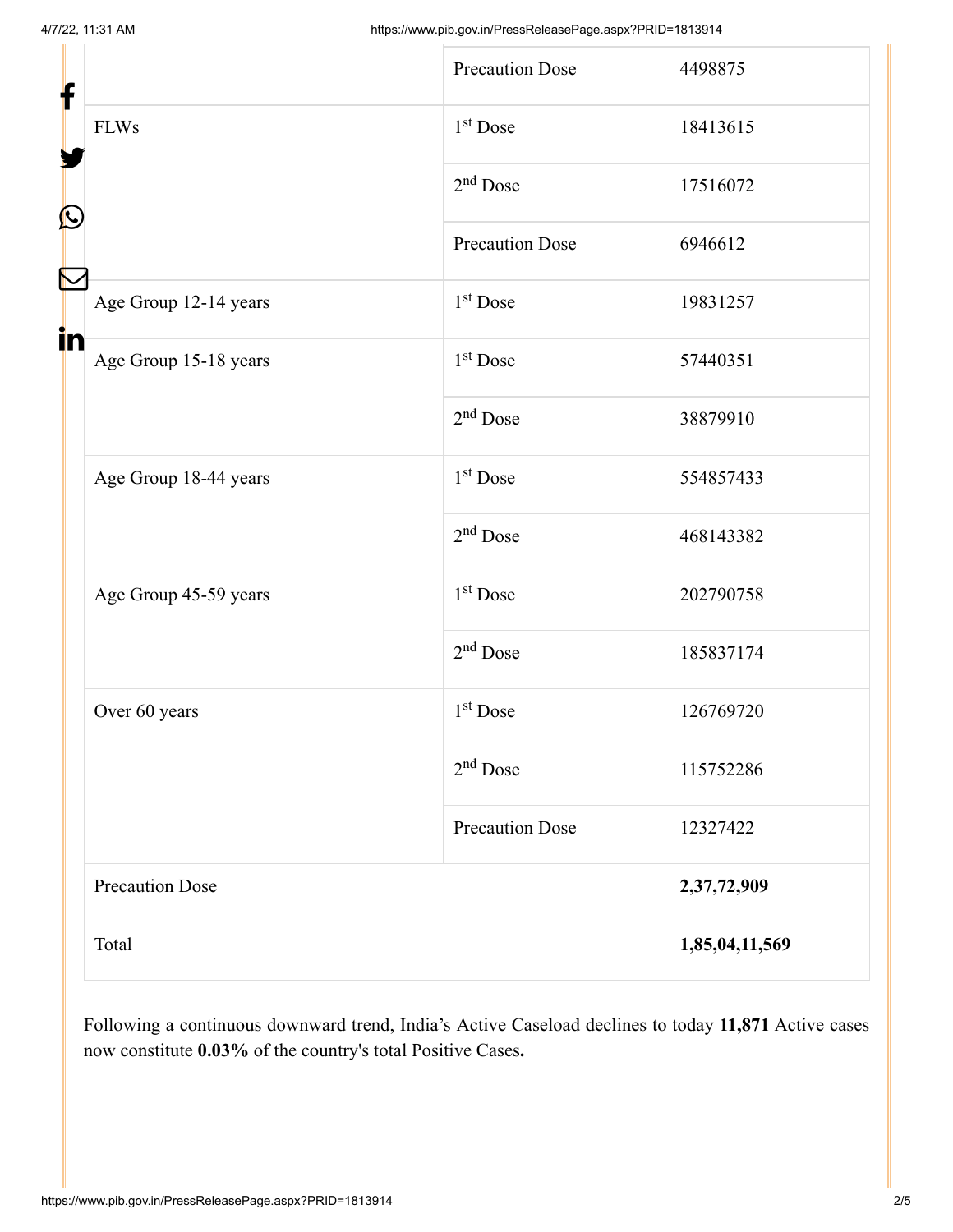| f                                              | <b>Precaution Dose</b> | 4498875        |
|------------------------------------------------|------------------------|----------------|
| <b>FLWs</b><br>$\mathbf{\Omega}$               | $1st$ Dose             | 18413615       |
|                                                | $2nd$ Dose             | 17516072       |
|                                                | <b>Precaution Dose</b> | 6946612        |
| Age Group 12-14 years                          | $1st$ Dose             | 19831257       |
| in<br>Age Group 15-18 years                    | $1st$ Dose             | 57440351       |
|                                                | $2nd$ Dose             | 38879910       |
| Age Group 18-44 years<br>Age Group 45-59 years | 1 <sup>st</sup> Dose   | 554857433      |
|                                                | $2nd$ Dose             | 468143382      |
|                                                | $1st$ Dose             | 202790758      |
|                                                | $2nd$ Dose             | 185837174      |
| Over 60 years                                  | 1 <sup>st</sup> Dose   | 126769720      |
|                                                | $2nd$ Dose             | 115752286      |
|                                                | <b>Precaution Dose</b> | 12327422       |
| <b>Precaution Dose</b>                         |                        | 2,37,72,909    |
| Total                                          |                        | 1,85,04,11,569 |

Following a continuous downward trend, India's Active Caseload declines to today **11,871** Active cases now constitute **0.03%** of the country's total Positive Cases**.**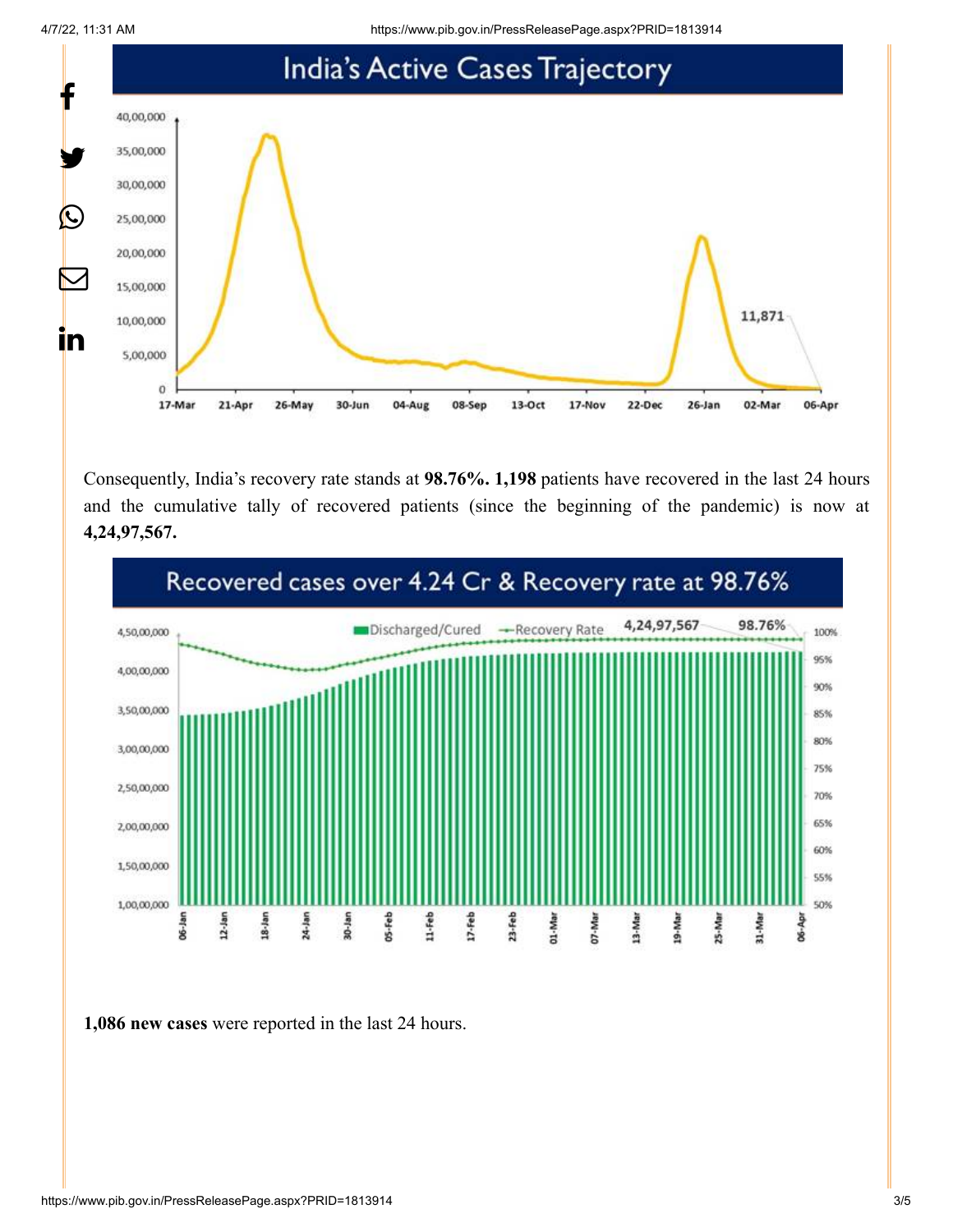4/7/22, 11:31 AM https://www.pib.gov.in/PressReleasePage.aspx?PRID=1813914



Consequently, India's recovery rate stands at **98.76%. 1,198** patients have recovered in the last 24 hours and the cumulative tally of recovered patients (since the beginning of the pandemic) is now at **4,24,97,567.**



**1,086 new cases** were reported in the last 24 hours.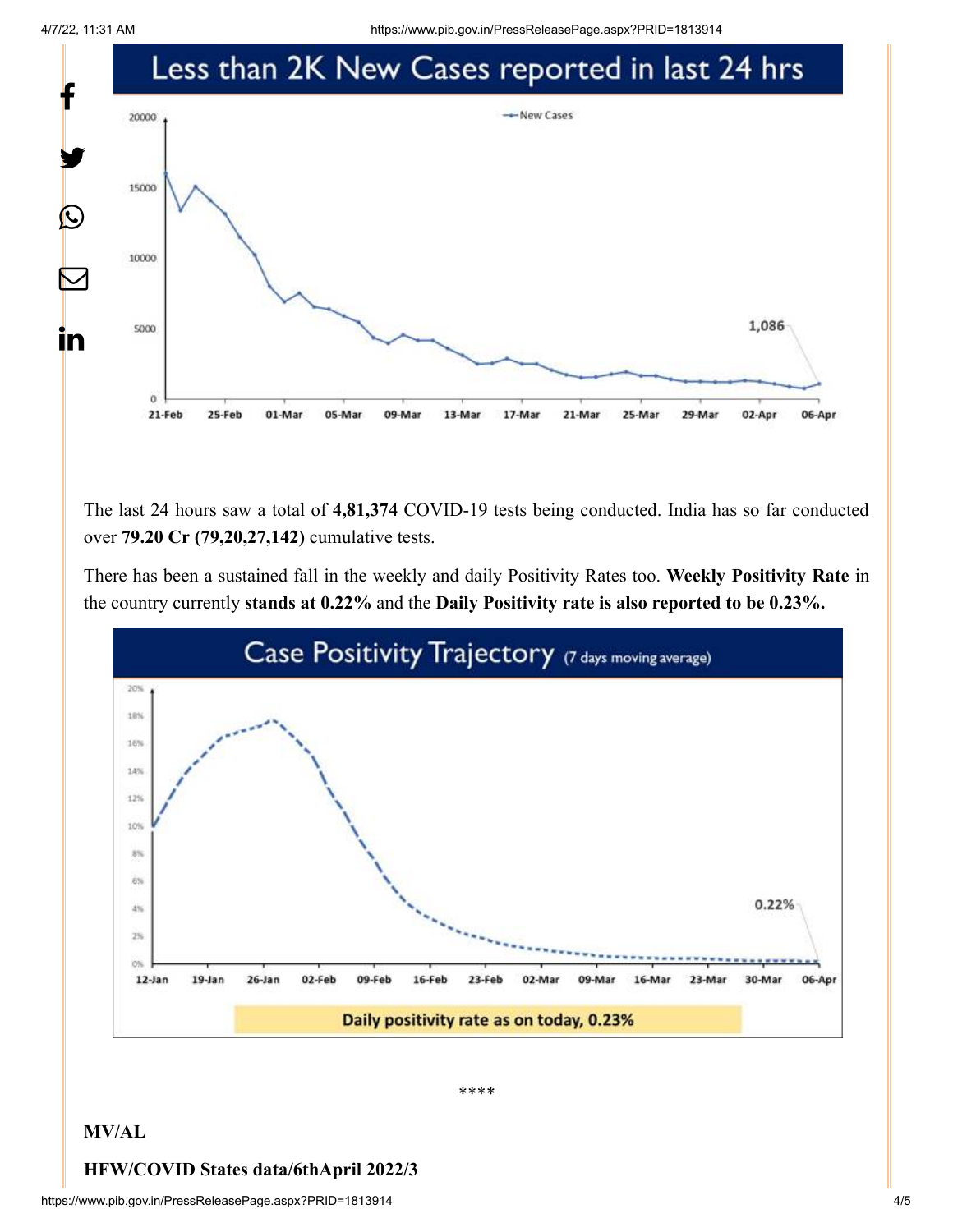4/7/22, 11:31 AM https://www.pib.gov.in/PressReleasePage.aspx?PRID=1813914



The last 24 hours saw a total of **4,81,374** COVID-19 tests being conducted. India has so far conducted over **79.20 Cr (79,20,27,142)** cumulative tests.

There has been a sustained fall in the weekly and daily Positivity Rates too. **Weekly Positivity Rate** in the country currently **stands at 0.22%** and the **Daily Positivity rate is also reported to be 0.23%.**



\*\*\*\*

## **MV/AL**

## **HFW/COVID States data/6thApril 2022/3**